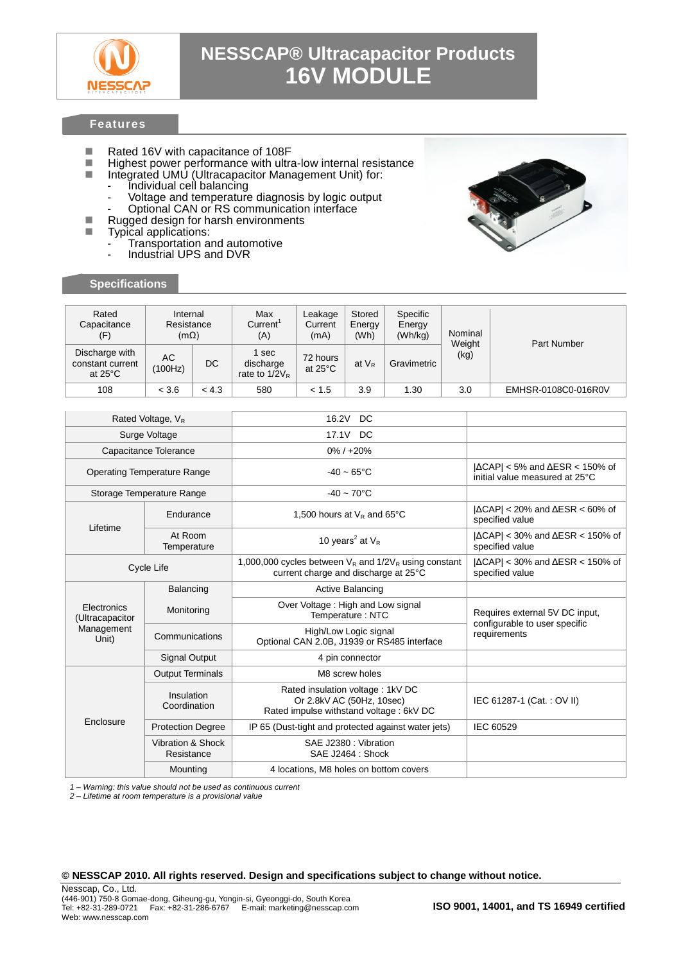

## **NESSCAP® Ultracapacitor Products 16V MODULE**

### **Features**

- Rated 16V with capacitance of 108F<br>Rational Highest power performance with ultra
- $\blacksquare$  Highest power performance with ultra-low internal resistance  $\blacksquare$  Integrated UMU (Ultracapacitor Management Unit) for
	- Integrated UMU (Ultracapacitor Management Unit) for:
		- Individual cell balancing
		- Voltage and temperature diagnosis by logic output
		- Optional CAN or RS communication interface
- Rugged design for harsh environments<br>■ Typical applications:
- Typical applications:
	- Transportation and automotive
	- Industrial UPS and DVR

#### **Specifications**



| Rated<br>Capacitance<br>(F)                             | Internal<br>Resistance<br>$(m\Omega)$ |           | Max<br>Current <sup>'</sup><br>(A)     | Leakage<br>Current<br>(mA)    | Stored<br>Energy<br>(Wh) | Specific<br>Energy<br>(Wh/kg) | Nominal<br>Weight | Part Number         |  |
|---------------------------------------------------------|---------------------------------------|-----------|----------------------------------------|-------------------------------|--------------------------|-------------------------------|-------------------|---------------------|--|
| Discharge with<br>constant current<br>at $25^{\circ}$ C | АC<br>(100Hz)                         | <b>DC</b> | 1 sec<br>discharge<br>rate to $1/2V_R$ | 72 hours<br>at $25^{\circ}$ C | at $V_R$                 | Gravimetric                   | (kg)              |                     |  |
| 108                                                     | < 3.6                                 | < 4.3     | 580                                    | < 1.5                         | 3.9                      | 1.30                          | 3.0               | EMHSR-0108C0-016R0V |  |

| Rated Voltage, V <sub>R</sub>                         |                                 | 16.2V<br>DC                                                                                              |                                                                                    |  |
|-------------------------------------------------------|---------------------------------|----------------------------------------------------------------------------------------------------------|------------------------------------------------------------------------------------|--|
| Surge Voltage                                         |                                 | 17.1V<br>DC                                                                                              |                                                                                    |  |
| Capacitance Tolerance                                 |                                 | $0\% / +20\%$                                                                                            |                                                                                    |  |
| <b>Operating Temperature Range</b>                    |                                 | $-40 - 65^{\circ}$ C                                                                                     | $ \Delta CAP $ < 5% and $\Delta ESR < 150\%$ of<br>initial value measured at 25°C  |  |
| Storage Temperature Range                             |                                 | $-40 \sim 70^{\circ}$ C                                                                                  |                                                                                    |  |
| Lifetime                                              | Endurance                       | 1,500 hours at $V_R$ and 65°C                                                                            | $ \Delta CAP $ < 20% and $\Delta ESR < 60\%$ of<br>specified value                 |  |
|                                                       | At Room<br>Temperature          | 10 years <sup>2</sup> at $V_R$                                                                           | $ \Delta \text{CAP}  < 30\%$ and $\Delta \text{ESR} < 150\%$ of<br>specified value |  |
| Cycle Life                                            |                                 | 1,000,000 cycles between $V_R$ and $1/2V_R$ using constant<br>current charge and discharge at 25°C       | $ \Delta \text{CAP}  < 30\%$ and $\Delta \text{ESR} < 150\%$ of<br>specified value |  |
| Electronics<br>(Ultracapacitor<br>Management<br>Unit) | Balancing                       | Active Balancing                                                                                         |                                                                                    |  |
|                                                       | Monitoring                      | Over Voltage: High and Low signal<br>Temperature: NTC                                                    | Requires external 5V DC input,                                                     |  |
|                                                       | Communications                  | High/Low Logic signal<br>Optional CAN 2.0B, J1939 or RS485 interface                                     | configurable to user specific<br>requirements                                      |  |
|                                                       | <b>Signal Output</b>            | 4 pin connector                                                                                          |                                                                                    |  |
| Enclosure                                             | <b>Output Terminals</b>         | M8 screw holes                                                                                           |                                                                                    |  |
|                                                       | Insulation<br>Coordination      | Rated insulation voltage: 1kV DC<br>Or 2.8kV AC (50Hz, 10sec)<br>Rated impulse withstand voltage: 6kV DC | IEC 61287-1 (Cat.: OV II)                                                          |  |
|                                                       | <b>Protection Degree</b>        | IP 65 (Dust-tight and protected against water jets)                                                      | IEC 60529                                                                          |  |
|                                                       | Vibration & Shock<br>Resistance | SAE J2380 : Vibration<br>SAE J2464 : Shock                                                               |                                                                                    |  |
|                                                       | Mounting                        | 4 locations, M8 holes on bottom covers                                                                   |                                                                                    |  |

*1 – Warning: this value should not be used as continuous current*

*2 – Lifetime at room temperature is a provisional value*